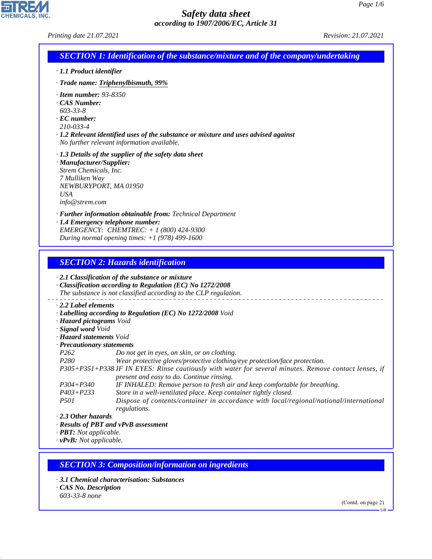| Printing date 21.07.2021                                                                                                                                                                                                                                                                                                                                                                                                                                                                                                                                                                                                                                                                                                                                                                                                                                                                                                                                                                                                                                                                                                                                                                                             | <i>Revision: 21.07.2021</i> |  |  |
|----------------------------------------------------------------------------------------------------------------------------------------------------------------------------------------------------------------------------------------------------------------------------------------------------------------------------------------------------------------------------------------------------------------------------------------------------------------------------------------------------------------------------------------------------------------------------------------------------------------------------------------------------------------------------------------------------------------------------------------------------------------------------------------------------------------------------------------------------------------------------------------------------------------------------------------------------------------------------------------------------------------------------------------------------------------------------------------------------------------------------------------------------------------------------------------------------------------------|-----------------------------|--|--|
| <b>SECTION 1: Identification of the substance/mixture and of the company/undertaking</b>                                                                                                                                                                                                                                                                                                                                                                                                                                                                                                                                                                                                                                                                                                                                                                                                                                                                                                                                                                                                                                                                                                                             |                             |  |  |
| $\cdot$ 1.1 Product identifier                                                                                                                                                                                                                                                                                                                                                                                                                                                                                                                                                                                                                                                                                                                                                                                                                                                                                                                                                                                                                                                                                                                                                                                       |                             |  |  |
| · Trade name: Triphenylbismuth, 99%                                                                                                                                                                                                                                                                                                                                                                                                                                                                                                                                                                                                                                                                                                                                                                                                                                                                                                                                                                                                                                                                                                                                                                                  |                             |  |  |
| $\cdot$ Item number: 93-8350<br>CAS Number:<br>$603 - 33 - 8$<br>$\cdot$ EC number:<br>210-033-4<br>$\cdot$ 1.2 Relevant identified uses of the substance or mixture and uses advised against<br>No further relevant information available.                                                                                                                                                                                                                                                                                                                                                                                                                                                                                                                                                                                                                                                                                                                                                                                                                                                                                                                                                                          |                             |  |  |
| $\cdot$ 1.3 Details of the supplier of the safety data sheet<br>· Manufacturer/Supplier:<br>Strem Chemicals, Inc.<br>7 Mulliken Way<br>NEWBURYPORT, MA 01950<br><b>USA</b><br>info@strem.com                                                                                                                                                                                                                                                                                                                                                                                                                                                                                                                                                                                                                                                                                                                                                                                                                                                                                                                                                                                                                         |                             |  |  |
| · Further information obtainable from: Technical Department<br>· 1.4 Emergency telephone number:<br>EMERGENCY: CHEMTREC: + 1 (800) 424-9300<br>During normal opening times: $+1$ (978) 499-1600                                                                                                                                                                                                                                                                                                                                                                                                                                                                                                                                                                                                                                                                                                                                                                                                                                                                                                                                                                                                                      |                             |  |  |
| <b>SECTION 2: Hazards identification</b><br>$\cdot$ 2.1 Classification of the substance or mixture<br>· Classification according to Regulation (EC) No 1272/2008<br>The substance is not classified according to the CLP regulation.<br>2.2 Label elements<br>· Labelling according to Regulation (EC) No 1272/2008 Void<br>· Hazard pictograms Void<br>· Signal word Void<br>· <b>Hazard statements</b> Void<br>· Precautionary statements<br>P <sub>262</sub><br>Do not get in eyes, on skin, or on clothing.<br>P <sub>280</sub><br>Wear protective gloves/protective clothing/eye protection/face protection.<br>P305+P351+P338 IF IN EYES: Rinse cautiously with water for several minutes. Remove contact lenses, if<br>present and easy to do. Continue rinsing.<br>$P304 + P340$<br>IF INHALED: Remove person to fresh air and keep comfortable for breathing.<br>Store in a well-ventilated place. Keep container tightly closed.<br>$P403 + P233$<br>Dispose of contents/container in accordance with local/regional/national/international<br><i>P501</i><br>regulations.<br>$\cdot$ 2.3 Other hazards<br>· Results of PBT and vPvB assessment<br>· PBT: Not applicable.<br>$\cdot$ vPvB: Not applicable. |                             |  |  |
| <b>SECTION 3: Composition/information on ingredients</b>                                                                                                                                                                                                                                                                                                                                                                                                                                                                                                                                                                                                                                                                                                                                                                                                                                                                                                                                                                                                                                                                                                                                                             |                             |  |  |
| 3.1 Chemical characterisation: Substances<br>· CAS No. Description                                                                                                                                                                                                                                                                                                                                                                                                                                                                                                                                                                                                                                                                                                                                                                                                                                                                                                                                                                                                                                                                                                                                                   |                             |  |  |
| 603-33-8 none                                                                                                                                                                                                                                                                                                                                                                                                                                                                                                                                                                                                                                                                                                                                                                                                                                                                                                                                                                                                                                                                                                                                                                                                        | (Contd. on page 2)          |  |  |
|                                                                                                                                                                                                                                                                                                                                                                                                                                                                                                                                                                                                                                                                                                                                                                                                                                                                                                                                                                                                                                                                                                                                                                                                                      | $GB -$                      |  |  |

44.1.1

CHEMICALS, INC.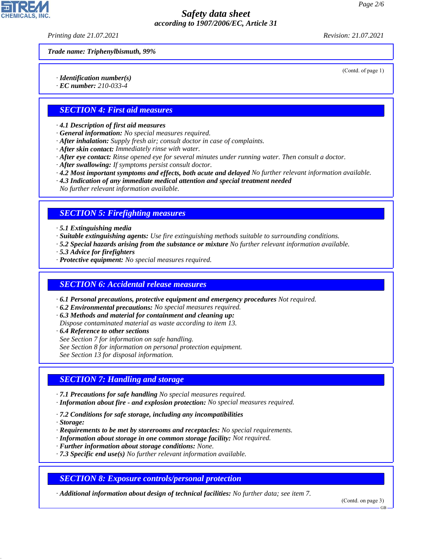*Printing date 21.07.2021 Revision: 21.07.2021*

(Contd. of page 1)

*Trade name: Triphenylbismuth, 99%*

*· Identification number(s)*

*· EC number: 210-033-4*

### *SECTION 4: First aid measures*

*· 4.1 Description of first aid measures*

- *· General information: No special measures required.*
- *· After inhalation: Supply fresh air; consult doctor in case of complaints.*
- *· After skin contact: Immediately rinse with water.*
- *· After eye contact: Rinse opened eye for several minutes under running water. Then consult a doctor.*
- *· After swallowing: If symptoms persist consult doctor.*
- *· 4.2 Most important symptoms and effects, both acute and delayed No further relevant information available.*
- *· 4.3 Indication of any immediate medical attention and special treatment needed*

*No further relevant information available.*

## *SECTION 5: Firefighting measures*

*· 5.1 Extinguishing media*

- *· Suitable extinguishing agents: Use fire extinguishing methods suitable to surrounding conditions.*
- *· 5.2 Special hazards arising from the substance or mixture No further relevant information available.*
- *· 5.3 Advice for firefighters*
- *· Protective equipment: No special measures required.*

### *SECTION 6: Accidental release measures*

- *· 6.1 Personal precautions, protective equipment and emergency procedures Not required.*
- *· 6.2 Environmental precautions: No special measures required.*
- *· 6.3 Methods and material for containment and cleaning up:*
- *Dispose contaminated material as waste according to item 13.*
- *· 6.4 Reference to other sections*
- *See Section 7 for information on safe handling.*
- *See Section 8 for information on personal protection equipment.*

*See Section 13 for disposal information.*

## *SECTION 7: Handling and storage*

- *· 7.1 Precautions for safe handling No special measures required.*
- *· Information about fire and explosion protection: No special measures required.*
- *· 7.2 Conditions for safe storage, including any incompatibilities*
- *· Storage:*

44.1.1

- *· Requirements to be met by storerooms and receptacles: No special requirements.*
- *· Information about storage in one common storage facility: Not required.*
- *· Further information about storage conditions: None.*
- *· 7.3 Specific end use(s) No further relevant information available.*

### *SECTION 8: Exposure controls/personal protection*

*· Additional information about design of technical facilities: No further data; see item 7.*

(Contd. on page 3)

GB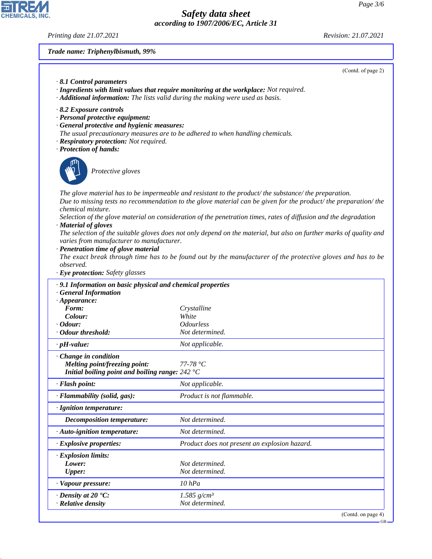*Printing date 21.07.2021 Revision: 21.07.2021*

CHEMICALS, INC.

44.1.1

*Trade name: Triphenylbismuth, 99%*

|                                                                                                                                                                                       | (Contd. of page 2)                                                                                                                                                                                                                                                                                                                                                                                                                                                                                                                                                                 |
|---------------------------------------------------------------------------------------------------------------------------------------------------------------------------------------|------------------------------------------------------------------------------------------------------------------------------------------------------------------------------------------------------------------------------------------------------------------------------------------------------------------------------------------------------------------------------------------------------------------------------------------------------------------------------------------------------------------------------------------------------------------------------------|
| 8.1 Control parameters<br>· Additional information: The lists valid during the making were used as basis.                                                                             | · Ingredients with limit values that require monitoring at the workplace: Not required.                                                                                                                                                                                                                                                                                                                                                                                                                                                                                            |
| $\cdot$ 8.2 Exposure controls<br>· Personal protective equipment:<br>· General protective and hygienic measures:<br>· Respiratory protection: Not required.<br>· Protection of hands: | The usual precautionary measures are to be adhered to when handling chemicals.                                                                                                                                                                                                                                                                                                                                                                                                                                                                                                     |
| Protective gloves                                                                                                                                                                     |                                                                                                                                                                                                                                                                                                                                                                                                                                                                                                                                                                                    |
| chemical mixture.<br>· Material of gloves<br>varies from manufacturer to manufacturer.<br>· Penetration time of glove material<br>observed.<br>· Eye protection: Safety glasses       | The glove material has to be impermeable and resistant to the product/the substance/the preparation.<br>Due to missing tests no recommendation to the glove material can be given for the product/ the preparation/ the<br>Selection of the glove material on consideration of the penetration times, rates of diffusion and the degradation<br>The selection of the suitable gloves does not only depend on the material, but also on further marks of quality and<br>The exact break through time has to be found out by the manufacturer of the protective gloves and has to be |
| .9.1 Information on basic physical and chemical properties<br><b>General Information</b>                                                                                              |                                                                                                                                                                                                                                                                                                                                                                                                                                                                                                                                                                                    |
| $\cdot$ Appearance:<br>Form:<br>Colour:<br>$\cdot$ Odour:                                                                                                                             | Crystalline<br>White<br><b>Odourless</b>                                                                                                                                                                                                                                                                                                                                                                                                                                                                                                                                           |
| · Odour threshold:                                                                                                                                                                    | Not determined.                                                                                                                                                                                                                                                                                                                                                                                                                                                                                                                                                                    |
| $\cdot$ pH-value:                                                                                                                                                                     | Not applicable.                                                                                                                                                                                                                                                                                                                                                                                                                                                                                                                                                                    |
| $\cdot$ Change in condition<br>Melting point/freezing point:<br>Initial boiling point and boiling range: $242 \degree C$                                                              | $77-78 °C$                                                                                                                                                                                                                                                                                                                                                                                                                                                                                                                                                                         |
| · Flash point:                                                                                                                                                                        | Not applicable.                                                                                                                                                                                                                                                                                                                                                                                                                                                                                                                                                                    |
| · Flammability (solid, gas):                                                                                                                                                          | Product is not flammable.                                                                                                                                                                                                                                                                                                                                                                                                                                                                                                                                                          |
| · Ignition temperature:                                                                                                                                                               |                                                                                                                                                                                                                                                                                                                                                                                                                                                                                                                                                                                    |
| <b>Decomposition temperature:</b>                                                                                                                                                     | Not determined.                                                                                                                                                                                                                                                                                                                                                                                                                                                                                                                                                                    |
| · Auto-ignition temperature:                                                                                                                                                          | Not determined.                                                                                                                                                                                                                                                                                                                                                                                                                                                                                                                                                                    |
| $\cdot$ Explosive properties:                                                                                                                                                         | Product does not present an explosion hazard.                                                                                                                                                                                                                                                                                                                                                                                                                                                                                                                                      |
| · Explosion limits:<br>Lower:<br><b>Upper:</b>                                                                                                                                        | Not determined.<br>Not determined.                                                                                                                                                                                                                                                                                                                                                                                                                                                                                                                                                 |
| · Vapour pressure:                                                                                                                                                                    | $10$ $hPa$                                                                                                                                                                                                                                                                                                                                                                                                                                                                                                                                                                         |
| $\cdot$ Density at 20 $\textdegree$ C:<br>· Relative density                                                                                                                          | $1.585$ g/cm <sup>3</sup><br>Not determined.                                                                                                                                                                                                                                                                                                                                                                                                                                                                                                                                       |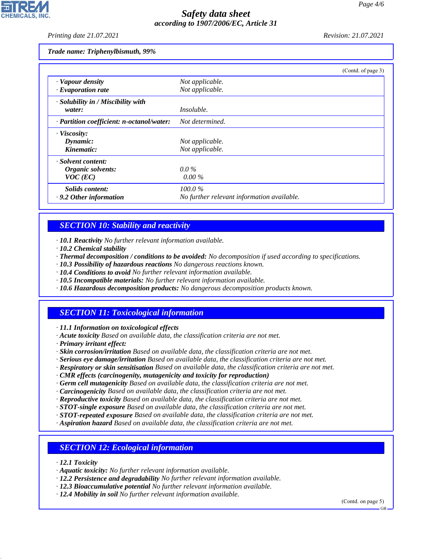*Printing date 21.07.2021 Revision: 21.07.2021*

*Trade name: Triphenylbismuth, 99%*

|                                           | (Contd. of page 3)                         |
|-------------------------------------------|--------------------------------------------|
| · Vapour density                          | Not applicable.                            |
| $\cdot$ Evaporation rate                  | Not applicable.                            |
| · Solubility in / Miscibility with        |                                            |
| water:                                    | <i>Insoluble.</i>                          |
| · Partition coefficient: n-octanol/water: | Not determined.                            |
| · Viscosity:                              |                                            |
| Dynamic:                                  | Not applicable.                            |
| Kinematic:                                | Not applicable.                            |
| · Solvent content:                        |                                            |
| Organic solvents:                         | $0.0\%$                                    |
| $VOC$ (EC)                                | $0.00\%$                                   |
| Solids content:                           | $100.0\%$                                  |
| $\cdot$ 9.2 Other information             | No further relevant information available. |

## *SECTION 10: Stability and reactivity*

*· 10.1 Reactivity No further relevant information available.*

- *· 10.2 Chemical stability*
- *· Thermal decomposition / conditions to be avoided: No decomposition if used according to specifications.*
- *· 10.3 Possibility of hazardous reactions No dangerous reactions known.*
- *· 10.4 Conditions to avoid No further relevant information available.*
- *· 10.5 Incompatible materials: No further relevant information available.*
- *· 10.6 Hazardous decomposition products: No dangerous decomposition products known.*

## *SECTION 11: Toxicological information*

*· 11.1 Information on toxicological effects*

- *· Acute toxicity Based on available data, the classification criteria are not met.*
- *· Primary irritant effect:*
- *· Skin corrosion/irritation Based on available data, the classification criteria are not met.*
- *· Serious eye damage/irritation Based on available data, the classification criteria are not met.*
- *· Respiratory or skin sensitisation Based on available data, the classification criteria are not met.*
- *· CMR effects (carcinogenity, mutagenicity and toxicity for reproduction)*
- *· Germ cell mutagenicity Based on available data, the classification criteria are not met.*
- *· Carcinogenicity Based on available data, the classification criteria are not met.*
- *· Reproductive toxicity Based on available data, the classification criteria are not met.*
- *· STOT-single exposure Based on available data, the classification criteria are not met.*
- *· STOT-repeated exposure Based on available data, the classification criteria are not met.*
- *· Aspiration hazard Based on available data, the classification criteria are not met.*

### *SECTION 12: Ecological information*

*· 12.1 Toxicity*

44.1.1

- *· Aquatic toxicity: No further relevant information available.*
- *· 12.2 Persistence and degradability No further relevant information available.*
- *· 12.3 Bioaccumulative potential No further relevant information available.*
- *· 12.4 Mobility in soil No further relevant information available.*

(Contd. on page 5)

GB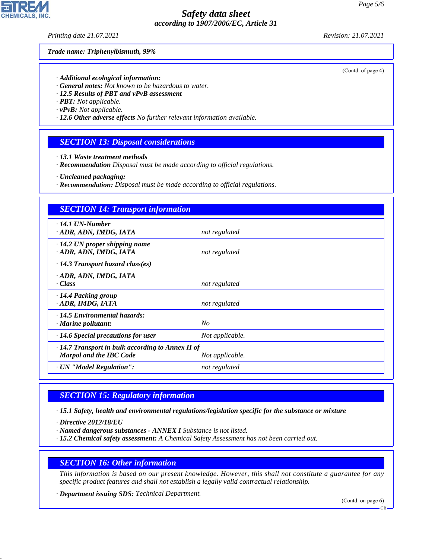*Printing date 21.07.2021 Revision: 21.07.2021*

#### *Trade name: Triphenylbismuth, 99%*

- *· Additional ecological information:*
- *· General notes: Not known to be hazardous to water.*
- *· 12.5 Results of PBT and vPvB assessment*
- *· PBT: Not applicable.*
- *· vPvB: Not applicable.*
- *· 12.6 Other adverse effects No further relevant information available.*

#### *SECTION 13: Disposal considerations*

- *· 13.1 Waste treatment methods*
- *· Recommendation Disposal must be made according to official regulations.*
- *· Uncleaned packaging:*
- *· Recommendation: Disposal must be made according to official regulations.*

| <b>SECTION 14: Transport information</b>                                                  |                 |
|-------------------------------------------------------------------------------------------|-----------------|
| $\cdot$ 14.1 UN-Number<br>· ADR, ADN, IMDG, IATA                                          | not regulated   |
| $\cdot$ 14.2 UN proper shipping name<br>· ADR, ADN, IMDG, IATA                            | not regulated   |
| $\cdot$ 14.3 Transport hazard class(es)                                                   |                 |
| · ADR, ADN, IMDG, IATA<br>· Class                                                         | not regulated   |
| · 14.4 Packing group<br>ADR, IMDG, IATA                                                   | not regulated   |
| · 14.5 Environmental hazards:<br>· Marine pollutant:                                      | $N_{O}$         |
| $\cdot$ 14.6 Special precautions for user                                                 | Not applicable. |
| $\cdot$ 14.7 Transport in bulk according to Annex II of<br><b>Marpol and the IBC Code</b> | Not applicable. |
| · UN "Model Regulation":                                                                  | not regulated   |

#### *SECTION 15: Regulatory information*

*· 15.1 Safety, health and environmental regulations/legislation specific for the substance or mixture*

*· Directive 2012/18/EU*

44.1.1

- *· Named dangerous substances ANNEX I Substance is not listed.*
- *· 15.2 Chemical safety assessment: A Chemical Safety Assessment has not been carried out.*

### *SECTION 16: Other information*

*This information is based on our present knowledge. However, this shall not constitute a guarantee for any specific product features and shall not establish a legally valid contractual relationship.*

*· Department issuing SDS: Technical Department.*

(Contd. on page 6)

(Contd. of page 4)



GB